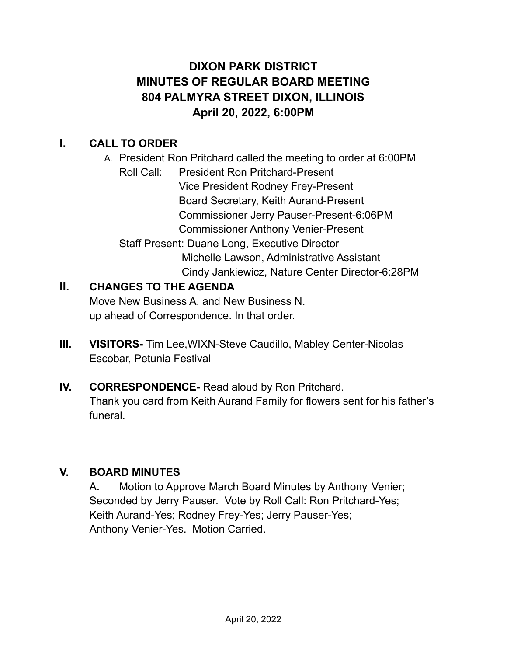# **DIXON PARK DISTRICT MINUTES OF REGULAR BOARD MEETING 804 PALMYRA STREET DIXON, ILLINOIS April 20, 2022, 6:00PM**

# **I. CALL TO ORDER**

A. President Ron Pritchard called the meeting to order at 6:00PM Roll Call: President Ron Pritchard-Present Vice President Rodney Frey-Present Board Secretary, Keith Aurand-Present Commissioner Jerry Pauser-Present-6:06PM Commissioner Anthony Venier-Present Staff Present: Duane Long, Executive Director Michelle Lawson, Administrative Assistant Cindy Jankiewicz, Nature Center Director-6:28PM

# **II. CHANGES TO THE AGENDA**

Move New Business A. and New Business N. up ahead of Correspondence. In that order.

- **III. VISITORS-** Tim Lee,WIXN-Steve Caudillo, Mabley Center-Nicolas Escobar, Petunia Festival
- **IV. CORRESPONDENCE-** Read aloud by Ron Pritchard. Thank you card from Keith Aurand Family for flowers sent for his father's funeral.

# **V. BOARD MINUTES**

A**.** Motion to Approve March Board Minutes by Anthony Venier; Seconded by Jerry Pauser. Vote by Roll Call: Ron Pritchard-Yes; Keith Aurand-Yes; Rodney Frey-Yes; Jerry Pauser-Yes; Anthony Venier-Yes. Motion Carried.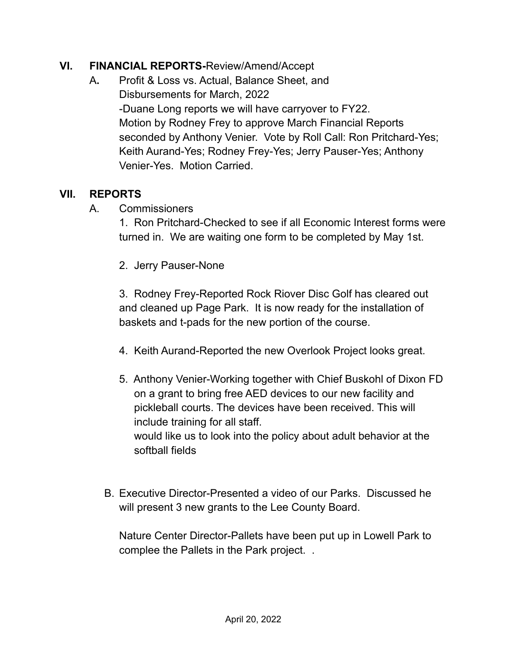#### **VI. FINANCIAL REPORTS-**Review/Amend/Accept

A**.** Profit & Loss vs. Actual, Balance Sheet, and Disbursements for March, 2022 -Duane Long reports we will have carryover to FY22. Motion by Rodney Frey to approve March Financial Reports seconded by Anthony Venier. Vote by Roll Call: Ron Pritchard-Yes; Keith Aurand-Yes; Rodney Frey-Yes; Jerry Pauser-Yes; Anthony Venier-Yes. Motion Carried.

#### **VII. REPORTS**

A. Commissioners

1. Ron Pritchard-Checked to see if all Economic Interest forms were turned in. We are waiting one form to be completed by May 1st.

2. Jerry Pauser-None

3. Rodney Frey-Reported Rock Riover Disc Golf has cleared out and cleaned up Page Park. It is now ready for the installation of baskets and t-pads for the new portion of the course.

- 4. Keith Aurand-Reported the new Overlook Project looks great.
- 5. Anthony Venier-Working together with Chief Buskohl of Dixon FD on a grant to bring free AED devices to our new facility and pickleball courts. The devices have been received. This will include training for all staff. would like us to look into the policy about adult behavior at the softball fields
- B. Executive Director-Presented a video of our Parks. Discussed he will present 3 new grants to the Lee County Board.

Nature Center Director-Pallets have been put up in Lowell Park to complee the Pallets in the Park project. .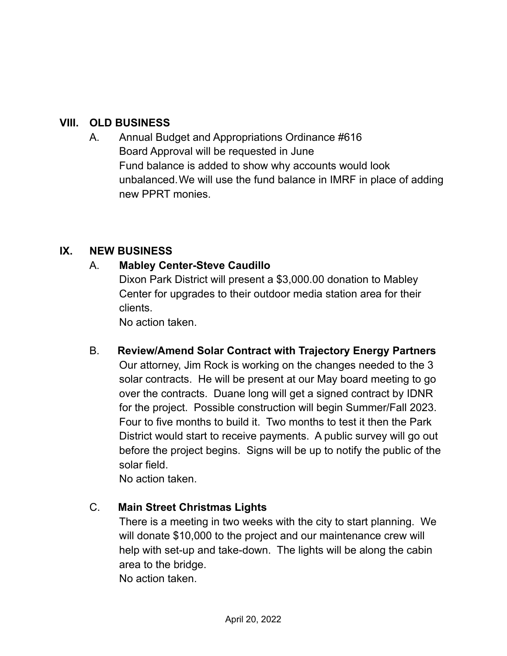### **VIII. OLD BUSINESS**

A. Annual Budget and Appropriations Ordinance #616 Board Approval will be requested in June Fund balance is added to show why accounts would look unbalanced.We will use the fund balance in IMRF in place of adding new PPRT monies.

#### **IX. NEW BUSINESS**

#### A. **Mabley Center-Steve Caudillo**

Dixon Park District will present a \$3,000.00 donation to Mabley Center for upgrades to their outdoor media station area for their clients.

No action taken.

B. **Review/Amend Solar Contract with Trajectory Energy Partners** Our attorney, Jim Rock is working on the changes needed to the 3 solar contracts. He will be present at our May board meeting to go over the contracts. Duane long will get a signed contract by IDNR for the project. Possible construction will begin Summer/Fall 2023. Four to five months to build it. Two months to test it then the Park District would start to receive payments. A public survey will go out before the project begins. Signs will be up to notify the public of the solar field.

No action taken.

# C. **Main Street Christmas Lights**

There is a meeting in two weeks with the city to start planning. We will donate \$10,000 to the project and our maintenance crew will help with set-up and take-down. The lights will be along the cabin area to the bridge.

No action taken.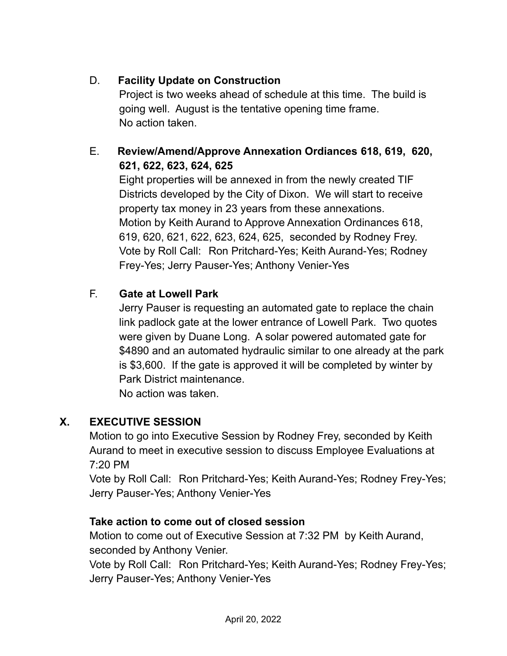# D. **Facility Update on Construction**

Project is two weeks ahead of schedule at this time. The build is going well. August is the tentative opening time frame. No action taken.

# E. **Review/Amend/Approve Annexation Ordiances 618, 619, 620, 621, 622, 623, 624, 625**

Eight properties will be annexed in from the newly created TIF Districts developed by the City of Dixon. We will start to receive property tax money in 23 years from these annexations. Motion by Keith Aurand to Approve Annexation Ordinances 618, 619, 620, 621, 622, 623, 624, 625, seconded by Rodney Frey. Vote by Roll Call: Ron Pritchard-Yes; Keith Aurand-Yes; Rodney Frey-Yes; Jerry Pauser-Yes; Anthony Venier-Yes

# F. **Gate at Lowell Park**

Jerry Pauser is requesting an automated gate to replace the chain link padlock gate at the lower entrance of Lowell Park. Two quotes were given by Duane Long. A solar powered automated gate for \$4890 and an automated hydraulic similar to one already at the park is \$3,600. If the gate is approved it will be completed by winter by Park District maintenance.

No action was taken.

# **X. EXECUTIVE SESSION**

Motion to go into Executive Session by Rodney Frey, seconded by Keith Aurand to meet in executive session to discuss Employee Evaluations at 7:20 PM

Vote by Roll Call: Ron Pritchard-Yes; Keith Aurand-Yes; Rodney Frey-Yes; Jerry Pauser-Yes; Anthony Venier-Yes

# **Take action to come out of closed session**

Motion to come out of Executive Session at 7:32 PM by Keith Aurand, seconded by Anthony Venier.

Vote by Roll Call: Ron Pritchard-Yes; Keith Aurand-Yes; Rodney Frey-Yes; Jerry Pauser-Yes; Anthony Venier-Yes